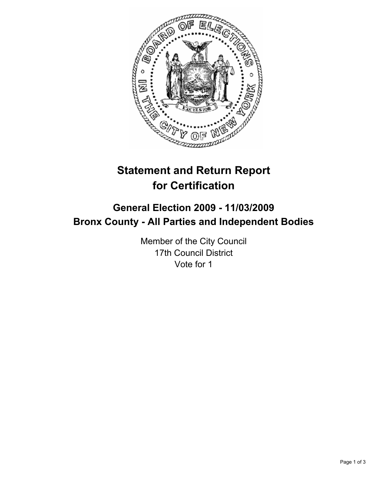

# **Statement and Return Report for Certification**

# **General Election 2009 - 11/03/2009 Bronx County - All Parties and Independent Bodies**

Member of the City Council 17th Council District Vote for 1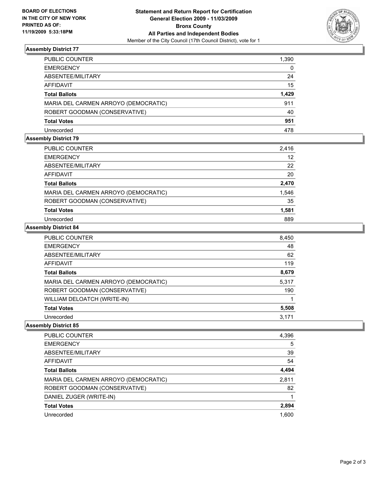

## **Assembly District 77**

| PUBLIC COUNTER                       | 1,390 |
|--------------------------------------|-------|
| <b>EMERGENCY</b>                     | 0     |
| ABSENTEE/MILITARY                    | 24    |
| <b>AFFIDAVIT</b>                     | 15    |
| <b>Total Ballots</b>                 | 1,429 |
| MARIA DEL CARMEN ARROYO (DEMOCRATIC) | 911   |
| ROBERT GOODMAN (CONSERVATIVE)        | 40    |
| <b>Total Votes</b>                   | 951   |
| Unrecorded                           | 478   |

## **Assembly District 79**

| PUBLIC COUNTER                       | 2,416 |
|--------------------------------------|-------|
| <b>EMERGENCY</b>                     | 12    |
| ABSENTEE/MILITARY                    | 22    |
| AFFIDAVIT                            | 20    |
| <b>Total Ballots</b>                 | 2,470 |
| MARIA DEL CARMEN ARROYO (DEMOCRATIC) | 1,546 |
| ROBERT GOODMAN (CONSERVATIVE)        | 35    |
| <b>Total Votes</b>                   | 1,581 |
| Unrecorded                           | 889   |

#### **Assembly District 84**

| PUBLIC COUNTER                       | 8,450 |
|--------------------------------------|-------|
| <b>EMERGENCY</b>                     | 48    |
| ABSENTEE/MILITARY                    | 62    |
| <b>AFFIDAVIT</b>                     | 119   |
| <b>Total Ballots</b>                 | 8,679 |
| MARIA DEL CARMEN ARROYO (DEMOCRATIC) | 5,317 |
| ROBERT GOODMAN (CONSERVATIVE)        | 190   |
| WILLIAM DELOATCH (WRITE-IN)          |       |
| <b>Total Votes</b>                   | 5,508 |
| Unrecorded                           | 3.171 |

## **Assembly District 85**

| PUBLIC COUNTER                       | 4,396 |
|--------------------------------------|-------|
| <b>EMERGENCY</b>                     | 5     |
| ABSENTEE/MILITARY                    | 39    |
| <b>AFFIDAVIT</b>                     | 54    |
| <b>Total Ballots</b>                 | 4,494 |
| MARIA DEL CARMEN ARROYO (DEMOCRATIC) | 2,811 |
| ROBERT GOODMAN (CONSERVATIVE)        | 82    |
| DANIEL ZUGER (WRITE-IN)              |       |
| <b>Total Votes</b>                   | 2,894 |
| Unrecorded                           | 1.600 |